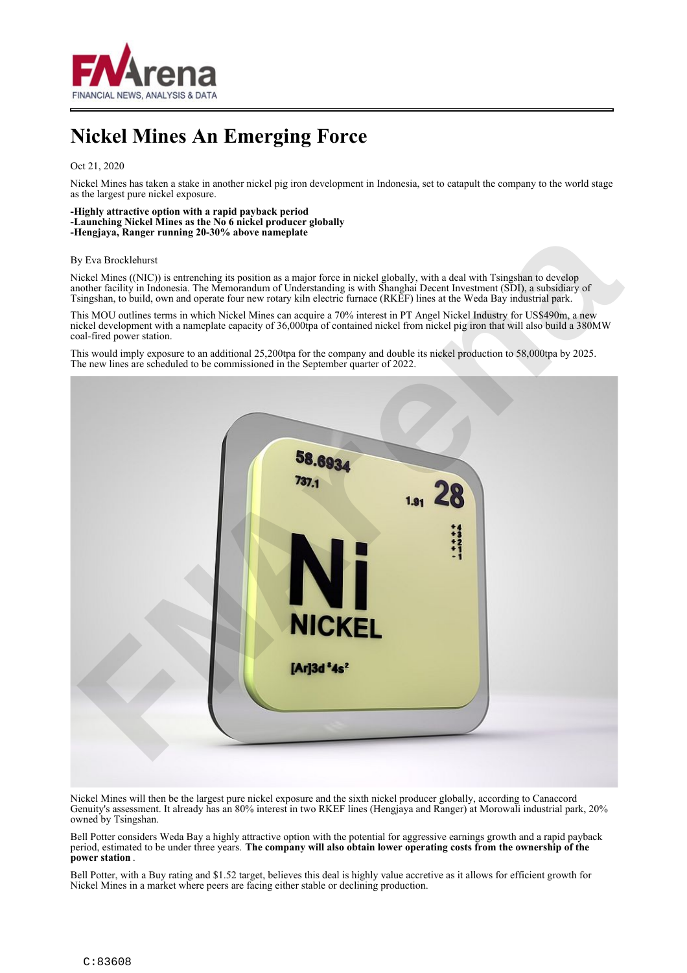

# **Nickel Mines An Emerging Force**

## Oct 21, 2020

Nickel Mines has taken a stake in another nickel pig iron development in Indonesia, set to catapult the company to the world stage as the largest pure nickel exposure.

### **-Highly attractive option with a rapid payback period -Launching Nickel Mines as the No 6 nickel producer globally**

**-Hengjaya, Ranger running 20-30% above nameplate**

#### By Eva Brocklehurst

Nickel Mines ((NIC)) is entrenching its position as a major force in nickel globally, with a deal with Tsingshan to develop another facility in Indonesia. The Memorandum of Understanding is with Shanghai Decent Investment (SDI), a subsidiary of Tsingshan, to build, own and operate four new rotary kiln electric furnace (RKEF) lines at the Weda Bay industrial park.

This MOU outlines terms in which Nickel Mines can acquire a 70% interest in PT Angel Nickel Industry for US\$490m, a new nickel development with a nameplate capacity of 36,000tpa of contained nickel from nickel pig iron that will also build a 380MW coal-fired power station.

This would imply exposure to an additional 25,200tpa for the company and double its nickel production to 58,000tpa by 2025. The new lines are scheduled to be commissioned in the September quarter of 2022.



Nickel Mines will then be the largest pure nickel exposure and the sixth nickel producer globally, according to Canaccord Genuity's assessment. It already has an 80% interest in two RKEF lines (Hengjaya and Ranger) at Morowali industrial park, 20% owned by Tsingshan.

Bell Potter considers Weda Bay a highly attractive option with the potential for aggressive earnings growth and a rapid payback period, estimated to be under three years. **The company will also obtain lower operating costs from the ownership of the power station** .

Bell Potter, with a Buy rating and \$1.52 target, believes this deal is highly value accretive as it allows for efficient growth for Nickel Mines in a market where peers are facing either stable or declining production.